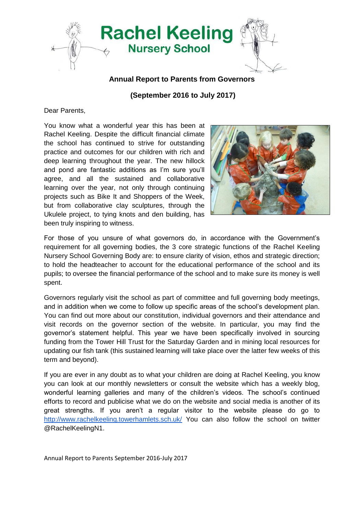

## **Annual Report to Parents from Governors**

**(September 2016 to July 2017)**

Dear Parents,

You know what a wonderful year this has been at Rachel Keeling. Despite the difficult financial climate the school has continued to strive for outstanding practice and outcomes for our children with rich and deep learning throughout the year. The new hillock and pond are fantastic additions as I'm sure you'll agree, and all the sustained and collaborative learning over the year, not only through continuing projects such as Bike It and Shoppers of the Week, but from collaborative clay sculptures, through the Ukulele project, to tying knots and den building, has been truly inspiring to witness.



For those of you unsure of what governors do, in accordance with the Government's requirement for all governing bodies, the 3 core strategic functions of the Rachel Keeling Nursery School Governing Body are: to ensure clarity of vision, ethos and strategic direction; to hold the headteacher to account for the educational performance of the school and its pupils; to oversee the financial performance of the school and to make sure its money is well spent.

Governors regularly visit the school as part of committee and full governing body meetings, and in addition when we come to follow up specific areas of the school's development plan. You can find out more about our constitution, individual governors and their attendance and visit records on the governor section of the website. In particular, you may find the governor's statement helpful. This year we have been specifically involved in sourcing funding from the Tower Hill Trust for the Saturday Garden and in mining local resources for updating our fish tank (this sustained learning will take place over the latter few weeks of this term and beyond).

If you are ever in any doubt as to what your children are doing at Rachel Keeling, you know you can look at our monthly newsletters or consult the website which has a weekly blog, wonderful learning galleries and many of the children's videos. The school's continued efforts to record and publicise what we do on the website and social media is another of its great strengths. If you aren't a regular visitor to the website please do go to <http://www.rachelkeeling.towerhamlets.sch.uk/> You can also follow the school on twitter @RachelKeelingN1.

Annual Report to Parents September 2016-July 2017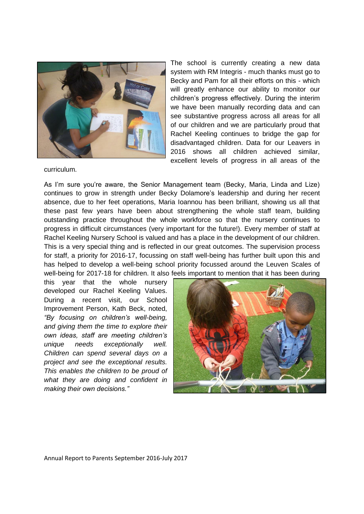

The school is currently creating a new data system with RM Integris - much thanks must go to Becky and Pam for all their efforts on this - which will greatly enhance our ability to monitor our children's progress effectively. During the interim we have been manually recording data and can see substantive progress across all areas for all of our children and we are particularly proud that Rachel Keeling continues to bridge the gap for disadvantaged children. Data for our Leavers in 2016 shows all children achieved similar, excellent levels of progress in all areas of the

curriculum.

As I'm sure you're aware, the Senior Management team (Becky, Maria, Linda and Lize) continues to grow in strength under Becky Dolamore's leadership and during her recent absence, due to her feet operations, Maria Ioannou has been brilliant, showing us all that these past few years have been about strengthening the whole staff team, building outstanding practice throughout the whole workforce so that the nursery continues to progress in difficult circumstances (very important for the future!). Every member of staff at Rachel Keeling Nursery School is valued and has a place in the development of our children. This is a very special thing and is reflected in our great outcomes. The supervision process for staff, a priority for 2016-17, focussing on staff well-being has further built upon this and has helped to develop a well-being school priority focussed around the Leuven Scales of well-being for 2017-18 for children. It also feels important to mention that it has been during

this year that the whole nursery developed our Rachel Keeling Values. During a recent visit, our School Improvement Person, Kath Beck, noted, *"By focusing on children"s well-being, and giving them the time to explore their own ideas, staff are meeting children"s unique needs exceptionally well. Children can spend several days on a project and see the exceptional results. This enables the children to be proud of what they are doing and confident in making their own decisions."*



Annual Report to Parents September 2016-July 2017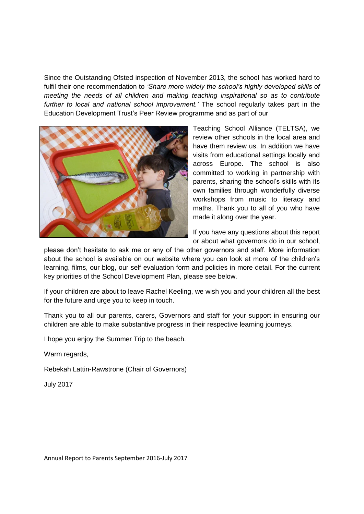Since the Outstanding Ofsted inspection of November 2013, the school has worked hard to fulfil their one recommendation to *"Share more widely the school"s highly developed skills of meeting the needs of all children and making teaching inspirational so as to contribute further to local and national school improvement."* The school regularly takes part in the Education Development Trust's Peer Review programme and as part of our



Teaching School Alliance (TELTSA), we review other schools in the local area and have them review us. In addition we have visits from educational settings locally and across Europe. The school is also committed to working in partnership with parents, sharing the school's skills with its own families through wonderfully diverse workshops from music to literacy and maths. Thank you to all of you who have made it along over the year.

If you have any questions about this report or about what governors do in our school,

please don't hesitate to ask me or any of the other governors and staff. More information about the school is available on our website where you can look at more of the children's learning, films, our blog, our self evaluation form and policies in more detail. For the current key priorities of the School Development Plan, please see below.

If your children are about to leave Rachel Keeling, we wish you and your children all the best for the future and urge you to keep in touch.

Thank you to all our parents, carers, Governors and staff for your support in ensuring our children are able to make substantive progress in their respective learning journeys.

I hope you enjoy the Summer Trip to the beach.

Warm regards,

Rebekah Lattin-Rawstrone (Chair of Governors)

July 2017